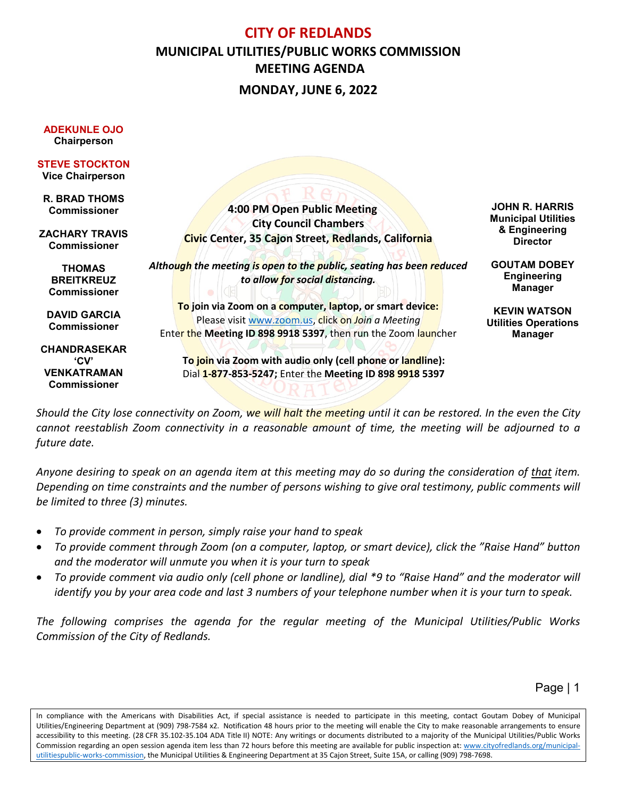## **CITY OF REDLANDS MUNICIPAL UTILITIES/PUBLIC WORKS COMMISSION MEETING AGENDA MONDAY, JUNE 6, 2022**

 **4:00 PM Open Public Meeting City Council Chambers Civic Center, 35 Cajon Street, Redlands, California** *Although the meeting is open to the public, seating has been reduced to allow for social distancing.* **To join via Zoom on a computer, laptop, or smart device:** Please visi[t www.zoom.us,](http://www.zoom.us/) click on *Join a Meeting* Enter the **Meeting ID 898 9918 5397**, then run the Zoom launcher **To join via Zoom with audio only (cell phone or landline):** Dial **1-877-853-5247;** Enter the **Meeting ID 898 9918 5397 ADEKUNLE OJO Chairperson STEVE STOCKTON Vice Chairperson R. BRAD THOMS Commissioner ZACHARY TRAVIS Commissioner THOMAS BREITKREUZ Commissioner DAVID GARCIA Commissioner CHANDRASEKAR 'CV' VENKATRAMAN Commissioner JOHN R. HARRIS Municipal Utilities & Engineering Director GOUTAM DOBEY Engineering Manager KEVIN WATSON Utilities Operations Manager**

*Should the City lose connectivity on Zoom, we will halt the meeting until it can be restored. In the even the City cannot reestablish Zoom connectivity in a reasonable amount of time, the meeting will be adjourned to a future date.*

*Anyone desiring to speak on an agenda item at this meeting may do so during the consideration of that item. Depending on time constraints and the number of persons wishing to give oral testimony, public comments will be limited to three (3) minutes.*

- *To provide comment in person, simply raise your hand to speak*
- *To provide comment through Zoom (on a computer, laptop, or smart device), click the "Raise Hand" button and the moderator will unmute you when it is your turn to speak*
- *To provide comment via audio only (cell phone or landline), dial \*9 to "Raise Hand" and the moderator will identify you by your area code and last 3 numbers of your telephone number when it is your turn to speak.*

*The following comprises the agenda for the regular meeting of the Municipal Utilities/Public Works Commission of the City of Redlands.*

Page | 1

In compliance with the Americans with Disabilities Act, if special assistance is needed to participate in this meeting, contact Goutam Dobey of Municipal Utilities/Engineering Department at (909) 798-7584 x2. Notification 48 hours prior to the meeting will enable the City to make reasonable arrangements to ensure accessibility to this meeting. (28 CFR 35.102-35.104 ADA Title II) NOTE: Any writings or documents distributed to a majority of the Municipal Utilities/Public Works Commission regarding an open session agenda item less than 72 hours before this meeting are available for public inspection at: [www.cityofredlands.org/municipal](http://www.cityofredlands.org/municipal-utilitiespublic-works-commission)[utilitiespublic-works-commission,](http://www.cityofredlands.org/municipal-utilitiespublic-works-commission) the Municipal Utilities & Engineering Department at 35 Cajon Street, Suite 15A, or calling (909) 798-7698.